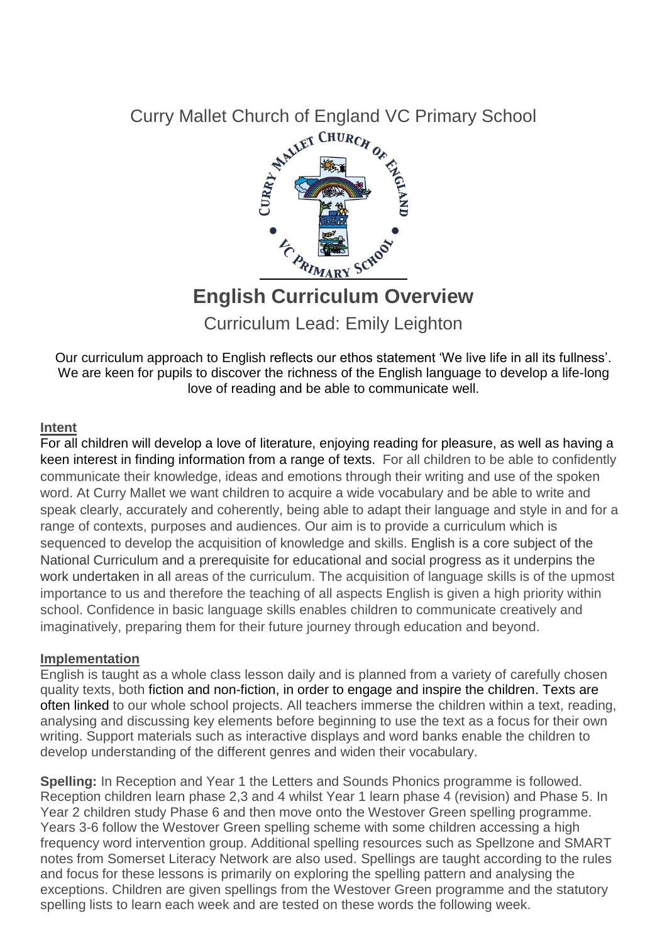

# **English Curriculum Overview**

Curriculum Lead: Emily Leighton

Our curriculum approach to English reflects our ethos statement 'We live life in all its fullness'. We are keen for pupils to discover the richness of the English language to develop a life-long love of reading and be able to communicate well.

#### **Intent**

For all children will develop a love of literature, enjoying reading for pleasure, as well as having a keen interest in finding information from a range of texts. For all children to be able to confidently communicate their knowledge, ideas and emotions through their writing and use of the spoken word. At Curry Mallet we want children to acquire a wide vocabulary and be able to write and speak clearly, accurately and coherently, being able to adapt their language and style in and for a range of contexts, purposes and audiences. Our aim is to provide a curriculum which is sequenced to develop the acquisition of knowledge and skills. English is a core subject of the National Curriculum and a prerequisite for educational and social progress as it underpins the work undertaken in all areas of the curriculum. The acquisition of language skills is of the upmost importance to us and therefore the teaching of all aspects English is given a high priority within school. Confidence in basic language skills enables children to communicate creatively and imaginatively, preparing them for their future journey through education and beyond.

#### **Implementation**

English is taught as a whole class lesson daily and is planned from a variety of carefully chosen quality texts, both fiction and non-fiction, in order to engage and inspire the children. Texts are often linked to our whole school projects. All teachers immerse the children within a text, reading, analysing and discussing key elements before beginning to use the text as a focus for their own writing. Support materials such as interactive displays and word banks enable the children to develop understanding of the different genres and widen their vocabulary.

**Spelling:** In Reception and Year 1 the Letters and Sounds Phonics programme is followed. Reception children learn phase 2,3 and 4 whilst Year 1 learn phase 4 (revision) and Phase 5. In Year 2 children study Phase 6 and then move onto the Westover Green spelling programme. Years 3-6 follow the Westover Green spelling scheme with some children accessing a high frequency word intervention group. Additional spelling resources such as Spellzone and SMART notes from Somerset Literacy Network are also used. Spellings are taught according to the rules and focus for these lessons is primarily on exploring the spelling pattern and analysing the exceptions. Children are given spellings from the Westover Green programme and the statutory spelling lists to learn each week and are tested on these words the following week.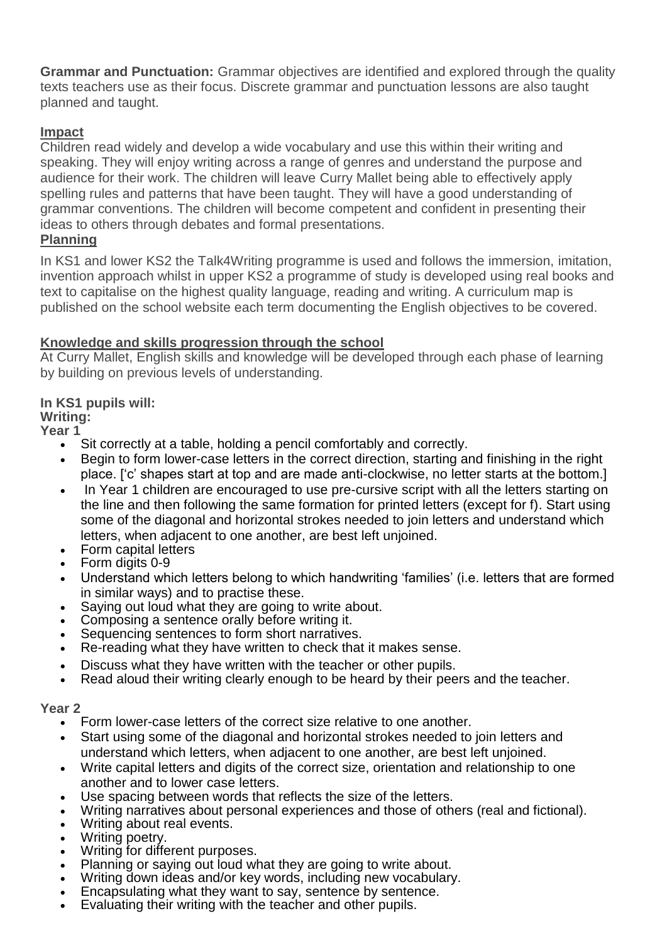**Grammar and Punctuation:** Grammar objectives are identified and explored through the quality texts teachers use as their focus. Discrete grammar and punctuation lessons are also taught planned and taught.

# **Impact**

Children read widely and develop a wide vocabulary and use this within their writing and speaking. They will enjoy writing across a range of genres and understand the purpose and audience for their work. The children will leave Curry Mallet being able to effectively apply spelling rules and patterns that have been taught. They will have a good understanding of grammar conventions. The children will become competent and confident in presenting their ideas to others through debates and formal presentations.

# **Planning**

In KS1 and lower KS2 the Talk4Writing programme is used and follows the immersion, imitation, invention approach whilst in upper KS2 a programme of study is developed using real books and text to capitalise on the highest quality language, reading and writing. A curriculum map is published on the school website each term documenting the English objectives to be covered.

## **Knowledge and skills progression through the school**

At Curry Mallet, English skills and knowledge will be developed through each phase of learning by building on previous levels of understanding.

# **In KS1 pupils will:**

# **Writing:**

**Year 1**

- Sit correctly at a table, holding a pencil comfortably and correctly.
- Begin to form lower-case letters in the correct direction, starting and finishing in the right place. ['c' shapes start at top and are made anti-clockwise, no letter starts at the bottom.]
- In Year 1 children are encouraged to use pre-cursive script with all the letters starting on the line and then following the same formation for printed letters (except for f). Start using some of the diagonal and horizontal strokes needed to join letters and understand which letters, when adjacent to one another, are best left unjoined.
- Form capital letters
- Form digits 0-9
- Understand which letters belong to which handwriting 'families' (i.e. letters that are formed in similar ways) and to practise these.
- Saying out loud what they are going to write about.
- Composing a sentence orally before writing it.
- Sequencing sentences to form short narratives.
- Re-reading what they have written to check that it makes sense.
- Discuss what they have written with the teacher or other pupils.
- Read aloud their writing clearly enough to be heard by their peers and the teacher.

#### **Year 2**

- Form lower-case letters of the correct size relative to one another.
- Start using some of the diagonal and horizontal strokes needed to join letters and understand which letters, when adjacent to one another, are best left unjoined.
- Write capital letters and digits of the correct size, orientation and relationship to one another and to lower case letters.
- Use spacing between words that reflects the size of the letters.
- Writing narratives about personal experiences and those of others (real and fictional).
- Writing about real events.
- Writing poetry.
- Writing for different purposes.
- Planning or saying out loud what they are going to write about.
- Writing down ideas and/or key words, including new vocabulary.
- Encapsulating what they want to say, sentence by sentence.
- Evaluating their writing with the teacher and other pupils.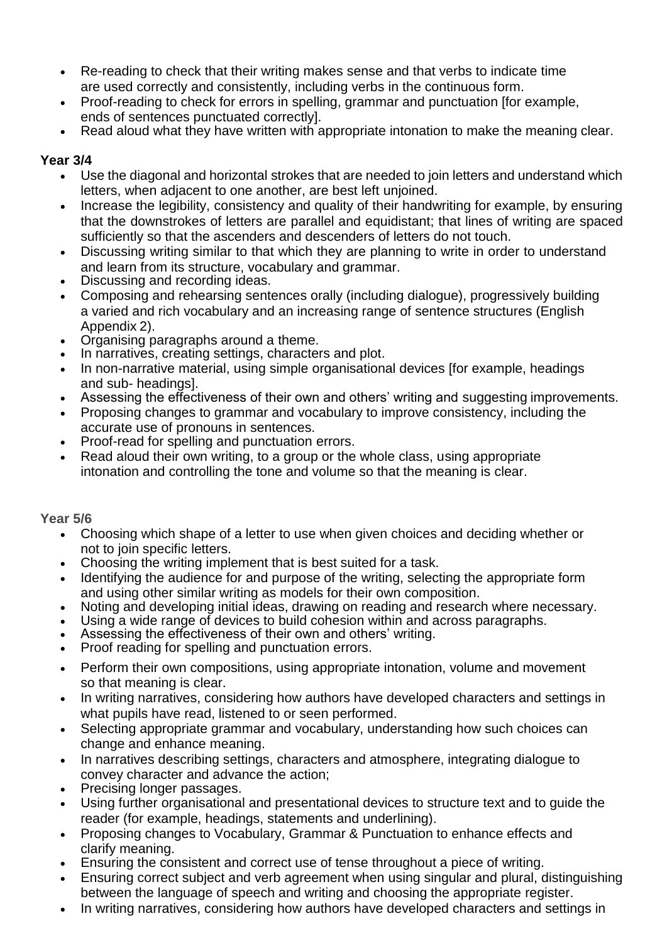- Re-reading to check that their writing makes sense and that verbs to indicate time are used correctly and consistently, including verbs in the continuous form.
- Proof-reading to check for errors in spelling, grammar and punctuation [for example, ends of sentences punctuated correctly].
- Read aloud what they have written with appropriate intonation to make the meaning clear.

## **Year 3/4**

- Use the diagonal and horizontal strokes that are needed to join letters and understand which letters, when adjacent to one another, are best left unjoined.
- Increase the legibility, consistency and quality of their handwriting for example, by ensuring that the downstrokes of letters are parallel and equidistant; that lines of writing are spaced sufficiently so that the ascenders and descenders of letters do not touch.
- Discussing writing similar to that which they are planning to write in order to understand and learn from its structure, vocabulary and grammar.
- Discussing and recording ideas.
- Composing and rehearsing sentences orally (including dialogue), progressively building a varied and rich vocabulary and an increasing range of sentence structures (English Appendix 2).
- Organising paragraphs around a theme.
- In narratives, creating settings, characters and plot.
- In non-narrative material, using simple organisational devices [for example, headings and sub- headings].
- Assessing the effectiveness of their own and others' writing and suggesting improvements.
- Proposing changes to grammar and vocabulary to improve consistency, including the accurate use of pronouns in sentences.
- Proof-read for spelling and punctuation errors.
- Read aloud their own writing, to a group or the whole class, using appropriate intonation and controlling the tone and volume so that the meaning is clear.

## **Year 5/6**

- Choosing which shape of a letter to use when given choices and deciding whether or not to join specific letters.
- Choosing the writing implement that is best suited for a task.
- Identifying the audience for and purpose of the writing, selecting the appropriate form and using other similar writing as models for their own composition.
- Noting and developing initial ideas, drawing on reading and research where necessary.
- Using a wide range of devices to build cohesion within and across paragraphs.
- Assessing the effectiveness of their own and others' writing.
- Proof reading for spelling and punctuation errors.
- Perform their own compositions, using appropriate intonation, volume and movement so that meaning is clear.
- In writing narratives, considering how authors have developed characters and settings in what pupils have read, listened to or seen performed.
- Selecting appropriate grammar and vocabulary, understanding how such choices can change and enhance meaning.
- In narratives describing settings, characters and atmosphere, integrating dialogue to convey character and advance the action;
- Precising longer passages.
- Using further organisational and presentational devices to structure text and to guide the reader (for example, headings, statements and underlining).
- Proposing changes to Vocabulary, Grammar & Punctuation to enhance effects and clarify meaning.
- Ensuring the consistent and correct use of tense throughout a piece of writing.
- Ensuring correct subject and verb agreement when using singular and plural, distinguishing between the language of speech and writing and choosing the appropriate register.
- In writing narratives, considering how authors have developed characters and settings in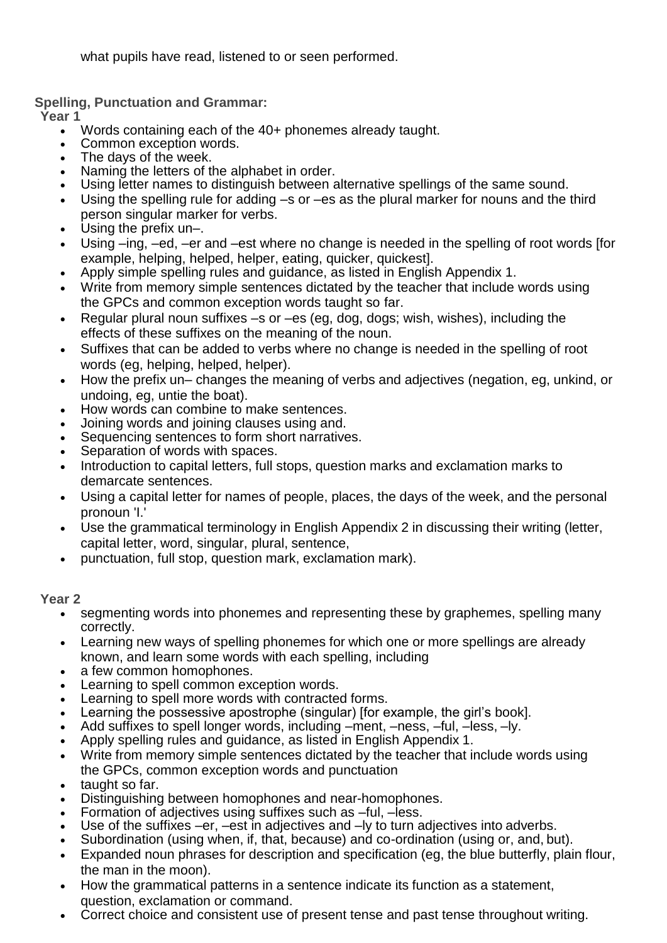what pupils have read, listened to or seen performed.

**Spelling, Punctuation and Grammar:**

**Year 1**

- Words containing each of the 40+ phonemes already taught.
- Common exception words.
- The days of the week.
- Naming the letters of the alphabet in order.
- Using letter names to distinguish between alternative spellings of the same sound.
- Using the spelling rule for adding –s or –es as the plural marker for nouns and the third person singular marker for verbs.
- Using the prefix un–.
- Using –ing, –ed, –er and –est where no change is needed in the spelling of root words [for example, helping, helped, helper, eating, quicker, quickest].
- Apply simple spelling rules and guidance, as listed in English Appendix 1.
- Write from memory simple sentences dictated by the teacher that include words using the GPCs and common exception words taught so far.
- Regular plural noun suffixes –s or –es (eg, dog, dogs; wish, wishes), including the effects of these suffixes on the meaning of the noun.
- Suffixes that can be added to verbs where no change is needed in the spelling of root words (eg, helping, helped, helper).
- How the prefix un– changes the meaning of verbs and adjectives (negation, eg, unkind, or undoing, eg, untie the boat).
- How words can combine to make sentences.
- Joining words and joining clauses using and.
- Sequencing sentences to form short narratives.
- Separation of words with spaces.
- Introduction to capital letters, full stops, question marks and exclamation marks to demarcate sentences.
- Using a capital letter for names of people, places, the days of the week, and the personal pronoun 'I.'
- Use the grammatical terminology in English Appendix 2 in discussing their writing (letter, capital letter, word, singular, plural, sentence,
- punctuation, full stop, question mark, exclamation mark).

## **Year 2**

- segmenting words into phonemes and representing these by graphemes, spelling many correctly.
- Learning new ways of spelling phonemes for which one or more spellings are already known, and learn some words with each spelling, including
- a few common homophones.
- Learning to spell common exception words.
- Learning to spell more words with contracted forms.
- Learning the possessive apostrophe (singular) [for example, the girl's book].
- Add suffixes to spell longer words, including –ment, –ness, –ful, –less, –ly.
- Apply spelling rules and guidance, as listed in English Appendix 1.
- Write from memory simple sentences dictated by the teacher that include words using the GPCs, common exception words and punctuation
- taught so far.
- Distinguishing between homophones and near-homophones.
- Formation of adjectives using suffixes such as –ful, –less.
- Use of the suffixes –er, –est in adjectives and –ly to turn adjectives into adverbs.
- Subordination (using when, if, that, because) and co-ordination (using or, and, but).
- Expanded noun phrases for description and specification (eg, the blue butterfly, plain flour, the man in the moon).
- How the grammatical patterns in a sentence indicate its function as a statement, question, exclamation or command.
- Correct choice and consistent use of present tense and past tense throughout writing.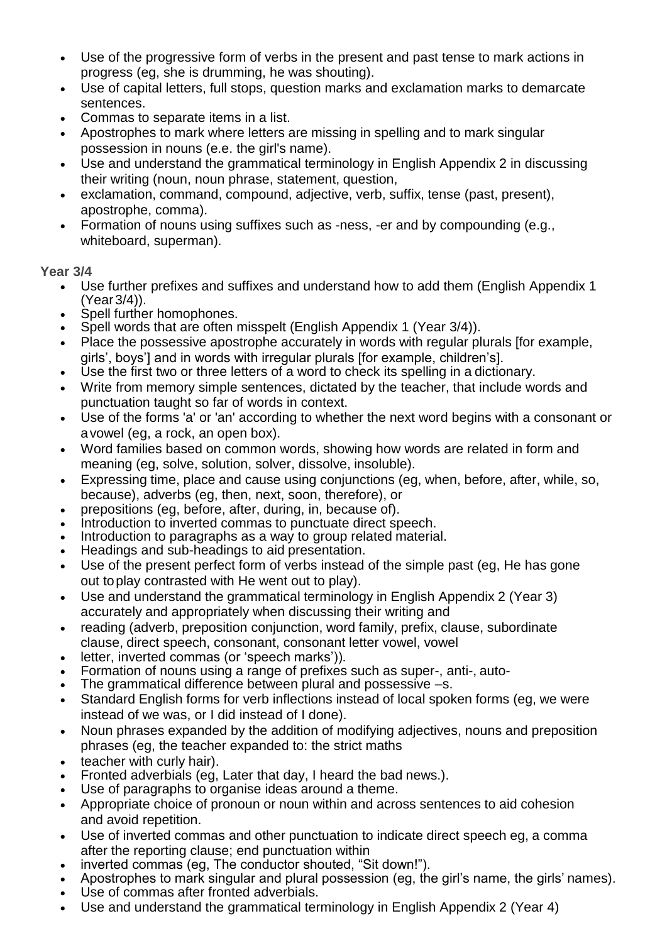- Use of the progressive form of verbs in the present and past tense to mark actions in progress (eg, she is drumming, he was shouting).
- Use of capital letters, full stops, question marks and exclamation marks to demarcate sentences.
- Commas to separate items in a list.
- Apostrophes to mark where letters are missing in spelling and to mark singular possession in nouns (e.e. the girl's name).
- Use and understand the grammatical terminology in English Appendix 2 in discussing their writing (noun, noun phrase, statement, question,
- exclamation, command, compound, adjective, verb, suffix, tense (past, present), apostrophe, comma).
- Formation of nouns using suffixes such as -ness, -er and by compounding (e.g., whiteboard, superman).

# **Year 3/4**

- Use further prefixes and suffixes and understand how to add them (English Appendix 1 (Year3/4)).
- Spell further homophones.
- Spell words that are often misspelt (English Appendix 1 (Year 3/4)).
- Place the possessive apostrophe accurately in words with regular plurals [for example, girls', boys'] and in words with irregular plurals [for example, children's].
- Use the first two or three letters of a word to check its spelling in a dictionary.
- Write from memory simple sentences, dictated by the teacher, that include words and punctuation taught so far of words in context.
- Use of the forms 'a' or 'an' according to whether the next word begins with a consonant or avowel (eg, a rock, an open box).
- Word families based on common words, showing how words are related in form and meaning (eg, solve, solution, solver, dissolve, insoluble).
- Expressing time, place and cause using conjunctions (eg, when, before, after, while, so, because), adverbs (eg, then, next, soon, therefore), or
- prepositions (eg, before, after, during, in, because of).
- Introduction to inverted commas to punctuate direct speech.
- Introduction to paragraphs as a way to group related material.
- Headings and sub-headings to aid presentation.
- Use of the present perfect form of verbs instead of the simple past (eg, He has gone out toplay contrasted with He went out to play).
- Use and understand the grammatical terminology in English Appendix 2 (Year 3) accurately and appropriately when discussing their writing and
- reading (adverb, preposition conjunction, word family, prefix, clause, subordinate clause, direct speech, consonant, consonant letter vowel, vowel
- letter, inverted commas (or 'speech marks')).
- Formation of nouns using a range of prefixes such as super-, anti-, auto-
- The grammatical difference between plural and possessive –s.
- Standard English forms for verb inflections instead of local spoken forms (eg, we were instead of we was, or I did instead of I done).
- Noun phrases expanded by the addition of modifying adjectives, nouns and preposition phrases (eg, the teacher expanded to: the strict maths
- teacher with curly hair).
- Fronted adverbials (eg, Later that day, I heard the bad news.).
- Use of paragraphs to organise ideas around a theme.
- Appropriate choice of pronoun or noun within and across sentences to aid cohesion and avoid repetition.
- Use of inverted commas and other punctuation to indicate direct speech eg, a comma after the reporting clause; end punctuation within
- inverted commas (eg, The conductor shouted, "Sit down!").
- Apostrophes to mark singular and plural possession (eg, the girl's name, the girls' names).
- Use of commas after fronted adverbials.
- Use and understand the grammatical terminology in English Appendix 2 (Year 4)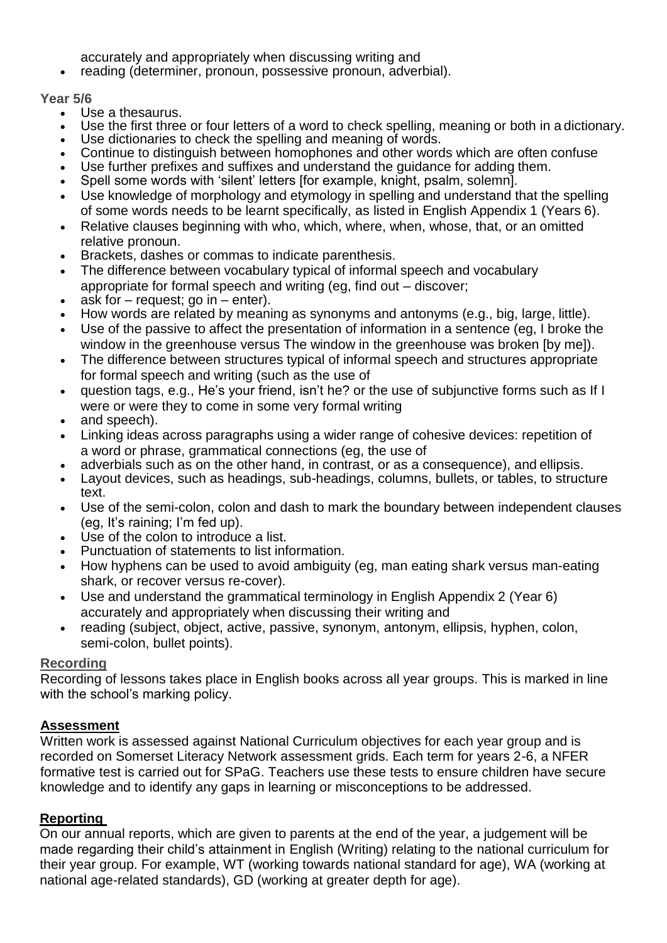accurately and appropriately when discussing writing and

reading (determiner, pronoun, possessive pronoun, adverbial).

#### **Year 5/6**

- Use a thesaurus.
- Use the first three or four letters of a word to check spelling, meaning or both in a dictionary.
- Use dictionaries to check the spelling and meaning of words.
- Continue to distinguish between homophones and other words which are often confuse
- Use further prefixes and suffixes and understand the guidance for adding them.
- Spell some words with 'silent' letters [for example, knight, psalm, solemn].
- Use knowledge of morphology and etymology in spelling and understand that the spelling of some words needs to be learnt specifically, as listed in English Appendix 1 (Years 6).
- Relative clauses beginning with who, which, where, when, whose, that, or an omitted relative pronoun.
- Brackets, dashes or commas to indicate parenthesis.
- The difference between vocabulary typical of informal speech and vocabulary appropriate for formal speech and writing (eg, find out – discover;
- ask for  $-$  request; go in  $-$  enter).
- How words are related by meaning as synonyms and antonyms (e.g., big, large, little).
- Use of the passive to affect the presentation of information in a sentence (eg, I broke the window in the greenhouse versus The window in the greenhouse was broken [by me]).
- The difference between structures typical of informal speech and structures appropriate for formal speech and writing (such as the use of
- question tags, e.g., He's your friend, isn't he? or the use of subjunctive forms such as If I were or were they to come in some very formal writing
- and speech).
- Linking ideas across paragraphs using a wider range of cohesive devices: repetition of a word or phrase, grammatical connections (eg, the use of
- adverbials such as on the other hand, in contrast, or as a consequence), and ellipsis.
- Layout devices, such as headings, sub-headings, columns, bullets, or tables, to structure text.
- Use of the semi-colon, colon and dash to mark the boundary between independent clauses (eg, It's raining; I'm fed up).
- Use of the colon to introduce a list.
- Punctuation of statements to list information.
- How hyphens can be used to avoid ambiguity (eg, man eating shark versus man-eating shark, or recover versus re-cover).
- Use and understand the grammatical terminology in English Appendix 2 (Year 6) accurately and appropriately when discussing their writing and
- reading (subject, object, active, passive, synonym, antonym, ellipsis, hyphen, colon, semi-colon, bullet points).

#### **Recording**

Recording of lessons takes place in English books across all year groups. This is marked in line with the school's marking policy.

## **Assessment**

Written work is assessed against National Curriculum objectives for each year group and is recorded on Somerset Literacy Network assessment grids. Each term for years 2-6, a NFER formative test is carried out for SPaG. Teachers use these tests to ensure children have secure knowledge and to identify any gaps in learning or misconceptions to be addressed.

## **Reporting**

On our annual reports, which are given to parents at the end of the year, a judgement will be made regarding their child's attainment in English (Writing) relating to the national curriculum for their year group. For example, WT (working towards national standard for age), WA (working at national age-related standards), GD (working at greater depth for age).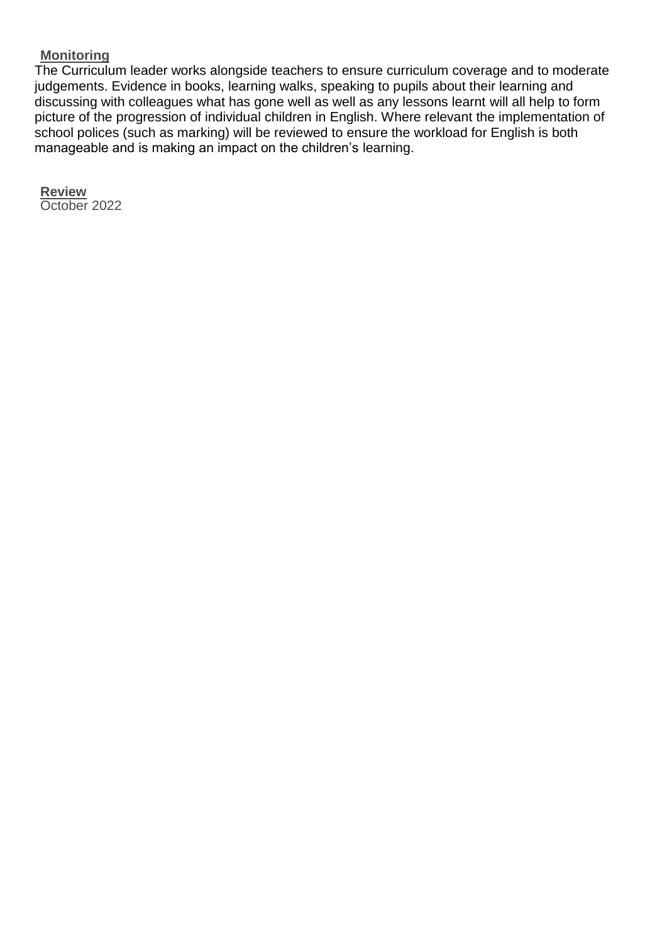#### **Monitoring**

The Curriculum leader works alongside teachers to ensure curriculum coverage and to moderate judgements. Evidence in books, learning walks, speaking to pupils about their learning and discussing with colleagues what has gone well as well as any lessons learnt will all help to form picture of the progression of individual children in English. Where relevant the implementation of school polices (such as marking) will be reviewed to ensure the workload for English is both manageable and is making an impact on the children's learning.

**Review** October 2022